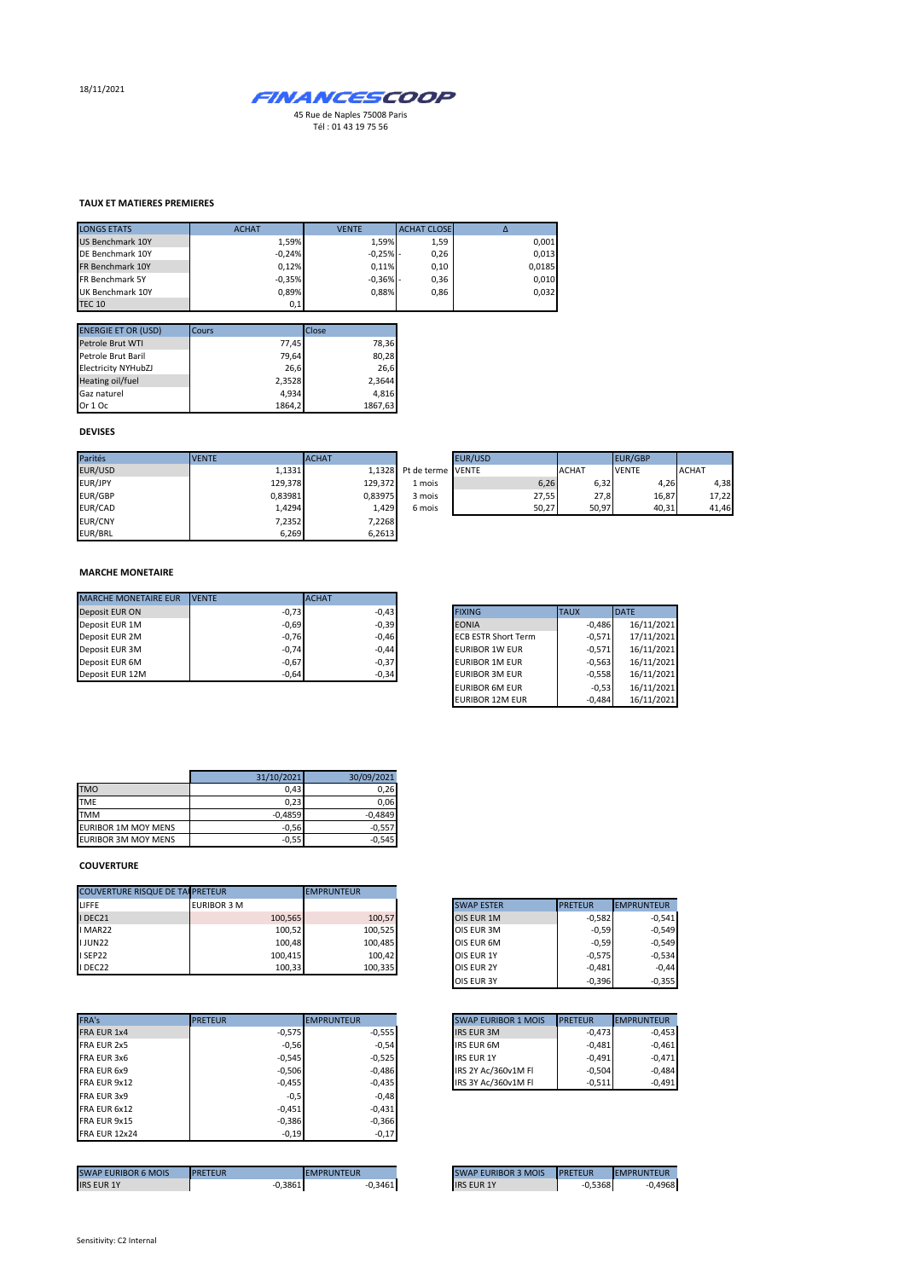18/11/2021



### **TAUX ET MATIERES PREMIERES**

| <b>LONGS ETATS</b>      | <b>ACHAT</b> | <b>VENTE</b> | <b>ACHAT CLOSE</b> | Δ      |
|-------------------------|--------------|--------------|--------------------|--------|
| <b>US Benchmark 10Y</b> | 1.59%        | 1.59%        | 1,59               | 0,001  |
| DE Benchmark 10Y        | $-0.24%$     | $-0,25%$ -   | 0,26               | 0,013  |
| FR Benchmark 10Y        | 0.12%        | 0.11%        | 0,10               | 0,0185 |
| FR Benchmark 5Y         | $-0.35%$     | $-0.36%$ -   | 0,36               | 0,010  |
| UK Benchmark 10Y        | 0.89%        | 0.88%        | 0.86               | 0.032  |
| <b>TEC 10</b>           | 0,1          |              |                    |        |

| <b>ENERGIE ET OR (USD)</b> | Cours  | Close   |
|----------------------------|--------|---------|
| Petrole Brut WTI           | 77,45  | 78,36   |
| Petrole Brut Baril         | 79,64  | 80,28   |
| <b>Electricity NYHubZJ</b> | 26,6   | 26,6    |
| Heating oil/fuel           | 2,3528 | 2,3644  |
| Gaz naturel                | 4.934  | 4,816   |
| Or 1 Oc                    | 1864,2 | 1867,63 |

# **DEVISES**

| Parités        | <b>VENTE</b> | <b>ACHAT</b> |                   | EUR/USD |              | EUR/GBP      |              |
|----------------|--------------|--------------|-------------------|---------|--------------|--------------|--------------|
|                |              |              |                   |         |              |              |              |
| EUR/USD        | 1,1331       | 1.1328       | Pt de terme VENTE |         | <b>ACHAT</b> | <b>VENTE</b> | <b>ACHAT</b> |
| EUR/JPY        | 129,378      | 129,372      | 1 mois            | 6,26    | 6,32         | 4,26         | 4,38         |
| <b>EUR/GBP</b> | 0,83981      | 0.83975      | 3 mois            | 27,55   | 27,8         | 16,87        | 17,22        |
| EUR/CAD        | 1,4294       | 1,429        | 6 mois            | 50,27   | 50,97        | 40,31        | 41,46        |
| <b>EUR/CNY</b> | 7,2352       | 7,2268       |                   |         |              |              |              |
| EUR/BRL        | 6,269        | 6,2613       |                   |         |              |              |              |

| le terme VENTE |                | <b>ACHAT</b> | <b>VENTE</b>   | <b>ACHAT</b>                    |
|----------------|----------------|--------------|----------------|---------------------------------|
|                | 6,26           |              | 4,26           | 4,38                            |
|                |                | 27,8         | 16,87          | 17,22                           |
|                |                | 50,97        |                | 41,46                           |
|                | <b>EUR/USD</b> |              | 27,55<br>50,27 | <b>EUR/GBP</b><br>6,32<br>40,31 |

## **MARCHE MONETAIRE**

| <b>MARCHE MONETAIRE EUR</b> | <b>IVENTE</b> | <b>ACHAT</b> |
|-----------------------------|---------------|--------------|
| Deposit EUR ON              | $-0,73$       | $-0.43$      |
| Deposit EUR 1M              | $-0,69$       | $-0,39$      |
| Deposit EUR 2M              | $-0,76$       | $-0,46$      |
| Deposit EUR 3M              | $-0,74$       | $-0,44$      |
| Deposit EUR 6M              | $-0,67$       | $-0,37$      |
| Deposit EUR 12M             | $-0.64$       | $-0,34$      |

| <b>FIXING</b>              | <b>TAUX</b> | <b>DATE</b> |
|----------------------------|-------------|-------------|
| <b>EONIA</b>               | $-0,486$    | 16/11/2021  |
| <b>ECB ESTR Short Term</b> | $-0.571$    | 17/11/2021  |
| <b>EURIBOR 1W EUR</b>      | $-0.571$    | 16/11/2021  |
| <b>EURIBOR 1M EUR</b>      | $-0.563$    | 16/11/2021  |
| <b>EURIBOR 3M EUR</b>      | $-0.558$    | 16/11/2021  |
| <b>EURIBOR 6M EUR</b>      | $-0.53$     | 16/11/2021  |
| <b>EURIBOR 12M EUR</b>     | $-0.484$    | 16/11/2021  |

|                            | 31/10/2021 | 30/09/2021 |
|----------------------------|------------|------------|
| <b>TMO</b>                 | 0,43       | 0.26       |
| <b>TME</b>                 | 0.23       | 0.06       |
| <b>TMM</b>                 | $-0.4859$  | $-0.4849$  |
| <b>EURIBOR 1M MOY MENS</b> | $-0,56$    | $-0.557$   |
| <b>EURIBOR 3M MOY MENS</b> | $-0,55$    | $-0.545$   |

### **COUVERTURE**

| <b>COUVERTURE RISQUE DE TAI PRETEUR</b> |                    | <b>EMPRUNTEUR</b> |                   |                |                   |
|-----------------------------------------|--------------------|-------------------|-------------------|----------------|-------------------|
|                                         | <b>EURIBOR 3 M</b> |                   | <b>SWAP ESTER</b> | <b>PRETEUR</b> | <b>EMPRUNTEUR</b> |
| I DEC21                                 | 100,565            | 100,57            | OIS EUR 1M        | $-0,582$       |                   |
| I MAR22                                 | 100,52             | 100,525           | OIS EUR 3M        | $-0.59$        |                   |
| <b>IJUN22</b>                           | 100.48             | 100.485           | OIS EUR 6M        | $-0.59$        |                   |
| I SEP22                                 | 100.415            | 100,42            | <b>OIS EUR 1Y</b> | $-0.575$       |                   |
| I DEC22                                 | 100,33             | 100,335           | <b>OIS EUR 2Y</b> | $-0,481$       |                   |

| FRA's                | <b>PRETEUR</b> | <b>EMPRUNTEUR</b> | <b>SWAP EURIBOR 1 MOIS</b> | <b>PRETEUR</b> |
|----------------------|----------------|-------------------|----------------------------|----------------|
| FRA EUR 1x4          | $-0,575$       | $-0,555$          | <b>IRS EUR 3M</b>          | $-0.473$       |
| FRA EUR 2x5          | $-0,56$        | $-0.54$           | <b>IRS EUR 6M</b>          | $-0,481$       |
| FRA EUR 3x6          | $-0.545$       | $-0,525$          | <b>IRS EUR 1Y</b>          | $-0,491$       |
| FRA EUR 6x9          | $-0,506$       | $-0.486$          | IRS 2Y Ac/360v1M FI        | $-0.504$       |
| FRA EUR 9x12         | $-0,455$       | $-0,435$          | IRS 3Y Ac/360v1M FI        | $-0,511$       |
| FRA EUR 3x9          | $-0,5$         | $-0.48$           |                            |                |
| FRA EUR 6x12         | $-0,451$       | $-0,431$          |                            |                |
| FRA EUR 9x15         | $-0,386$       | $-0,366$          |                            |                |
| <b>FRA EUR 12x24</b> | $-0,19$        | $-0,17$           |                            |                |
|                      |                |                   |                            |                |

| <b>SWAP EURIBOR 6 MOIS</b> | <b>IPRETEUR</b> | EMPRUNTEUR | <b>SWAP EURIBOR 3 MOIS</b> | <b>IPRETEUR</b> | <b>EMPRUNTEUR</b> |
|----------------------------|-----------------|------------|----------------------------|-----------------|-------------------|
| <b>IRS EUR 1Y</b>          | 0,3861          | $-0,3461$  | <b>IRS EUR 1Y</b>          | 0,5368          | 0.4968            |

| <b>SWAP ESTER</b> | <b>PRETEUR</b> | <b>EMPRUNTEUR</b> |
|-------------------|----------------|-------------------|
| OIS EUR 1M        | $-0,582$       | $-0,541$          |
| OIS EUR 3M        | $-0,59$        | $-0,549$          |
| OIS EUR 6M        | $-0.59$        | $-0,549$          |
| <b>OIS EUR 1Y</b> | $-0,575$       | $-0,534$          |
| <b>OIS EUR 2Y</b> | $-0,481$       | $-0,44$           |
| OIS EUR 3Y        | $-0,396$       | $-0,355$          |

| <b>SWAP EURIBOR 1 MOIS</b> | <b>PRETEUR</b> | <b>EMPRUNTEUR</b> |
|----------------------------|----------------|-------------------|
| <b>IRS EUR 3M</b>          | $-0,473$       | $-0,453$          |
| <b>IRS EUR 6M</b>          | $-0.481$       | $-0,461$          |
| <b>IRS EUR 1Y</b>          | $-0.491$       | $-0,471$          |
| IRS 2Y Ac/360v1M Fl        | $-0.504$       | $-0.484$          |
| IRS 3Y Ac/360v1M FI        | $-0.511$       | $-0.491$          |

| <b>SWAP EURIBOR 3 MOIS</b> | <b>PRETEUR</b> | <b>EMPRUNTEUR</b> |
|----------------------------|----------------|-------------------|
| <b>IRS EUR 1Y</b>          | $-0,5368$      | $-0,4968$         |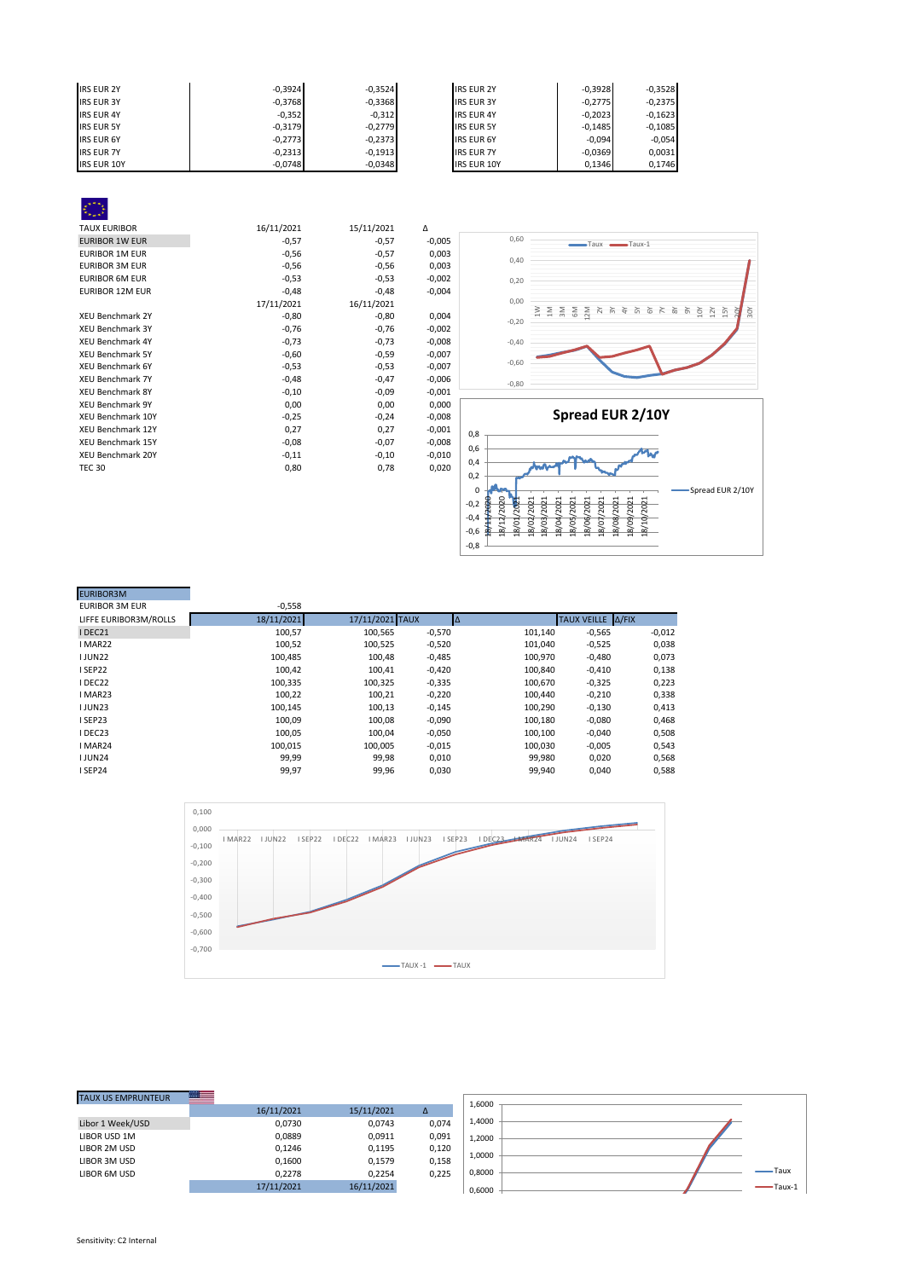| <b>IRS EUR 2Y</b>  | $-0.3924$ | $-0.3524$ | <b>IRS EUR 2Y</b>  | $-0,3928$ | $-0,3528$ |
|--------------------|-----------|-----------|--------------------|-----------|-----------|
| <b>IRS EUR 3Y</b>  | $-0,3768$ | $-0,3368$ | <b>IRS EUR 3Y</b>  | $-0.2775$ | $-0,2375$ |
| <b>IRS EUR 4Y</b>  | $-0,352$  | $-0,312$  | <b>IRS EUR 4Y</b>  | $-0,2023$ | $-0,1623$ |
| <b>IRS EUR 5Y</b>  | $-0,3179$ | $-0.2779$ | <b>IRS EUR 5Y</b>  | $-0.1485$ | $-0,1085$ |
| <b>IRS EUR 6Y</b>  | $-0,2773$ | $-0,2373$ | <b>IRS EUR 6Y</b>  | $-0.094$  | $-0.054$  |
| <b>IRS EUR 7Y</b>  | $-0,2313$ | $-0,1913$ | <b>IRS EUR 7Y</b>  | $-0,0369$ | 0,0031    |
| <b>IRS EUR 10Y</b> | $-0,0748$ | $-0,0348$ | <b>IRS EUR 10Y</b> | 0,1346    | 0.1746    |



ă 30Y

| <b>EURIBOR3M</b>      |            |                 |          |         |                     |          |
|-----------------------|------------|-----------------|----------|---------|---------------------|----------|
| <b>EURIBOR 3M EUR</b> | $-0,558$   |                 |          |         |                     |          |
| LIFFE EURIBOR3M/ROLLS | 18/11/2021 | 17/11/2021 TAUX | IΔ       |         | TAUX VEILLE   A/FIX |          |
| I DEC21               | 100,57     | 100,565         | $-0,570$ | 101,140 | $-0,565$            | $-0,012$ |
| I MAR22               | 100,52     | 100,525         | $-0,520$ | 101.040 | $-0,525$            | 0,038    |
| <b>IJUN22</b>         | 100.485    | 100.48          | $-0,485$ | 100.970 | $-0,480$            | 0,073    |
| ISEP22                | 100,42     | 100,41          | $-0,420$ | 100.840 | $-0,410$            | 0,138    |
| I DEC22               | 100.335    | 100.325         | $-0,335$ | 100.670 | $-0,325$            | 0,223    |
| I MAR23               | 100,22     | 100,21          | $-0,220$ | 100,440 | $-0,210$            | 0,338    |
| <b>IJUN23</b>         | 100,145    | 100,13          | $-0,145$ | 100,290 | $-0,130$            | 0,413    |
| ISEP23                | 100.09     | 100,08          | $-0,090$ | 100,180 | $-0,080$            | 0,468    |
| I DEC23               | 100,05     | 100.04          | $-0,050$ | 100,100 | $-0,040$            | 0,508    |
| I MAR24               | 100.015    | 100.005         | $-0,015$ | 100.030 | $-0,005$            | 0,543    |
| <b>IJUN24</b>         | 99,99      | 99,98           | 0,010    | 99,980  | 0,020               | 0,568    |
| ISEP24                | 99,97      | 99,96           | 0,030    | 99,940  | 0,040               | 0,588    |



-0,8 -0,6 -0,4

| <b>TAUX US EMPRUNTEUR</b> | $\overline{\phantom{a}}$ |            |       |        |           |
|---------------------------|--------------------------|------------|-------|--------|-----------|
|                           | 16/11/2021               | 15/11/2021 | Δ     | 1.6000 |           |
| Libor 1 Week/USD          | 0,0730                   | 0,0743     | 0,074 | 1,4000 |           |
| LIBOR USD 1M              | 0,0889                   | 0,0911     | 0,091 | 1.2000 |           |
| LIBOR 2M USD              | 0,1246                   | 0,1195     | 0,120 |        |           |
| LIBOR 3M USD              | 0,1600                   | 0,1579     | 0,158 | 1,0000 |           |
| LIBOR 6M USD              | 0.2278                   | 0,2254     | 0,225 | 0,8000 | -Taux     |
|                           | 17/11/2021               | 16/11/2021 |       | 0.6000 | $T$ aux-1 |